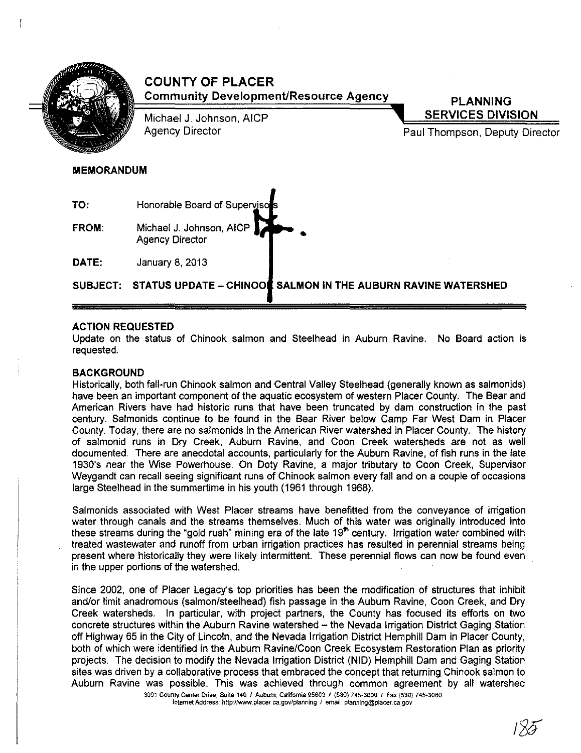

**COUNTY OF PLACER Community Development/Resource Agency** 

Michael J. Johnson, AICP Agency Director

**PLANNING SERVICES DIVISION** 

Paul Thompson, Deputy Director

# MEMORANDUM

TO: Honorable Board of Supervis FROM: Michael J. Johnson, AICP Agency Director DATE: January 8, 2013 •

SUBJECT: STATUS UPDATE - CHINOOL SALMON IN THE AUBURN RAVINE WATERSHED

# ACTION REQUESTED

Update on the status of Chinook salmon and Steelhead in Auburn Ravine. No Board action is requested.

# **BACKGROUND**

Historically, both fall-run Chinook salmon and Central Valley Steelhead (generally known as salmonids) have been an important component of the aquatic ecosystem of western Placer County. The Bear and American Rivers have had historic runs that have been truncated by dam construction in the past century. Salmonids continue to be found in the Bear River below Camp Far West Dam in Placer County. Today, there are no salmonids in the American River watershed in Placer County. The history of salmonid runs in Dry Creek, Auburn Ravine, and Coon Creek watersheds are not as well documented. There are anecdotal accounts, particularly for the Auburn Ravine, of fish runs in the late 1930's near the Wise Powerhouse. On Doty Ravine, a major tributary to Coon Creek, Supervisor Weygandt can recall seeing significant runs of Chinook salmon every fall and on a couple of occasions large Steelhead in the summertime in his youth (1961 through 1968).

Salmonids associated with West Placer streams have benefitted from the conveyance of irrigation water through canals and the streams themselves. Much of this water was originally introduced into these streams during the "gold rush" mining era of the late 19'" century. Irrigation water combined with treated wastewater and runoff from urban irrigation practices has resulted in perennial streams being present where historically they were likely intermittent. These perennial flows can now be found even in the upper portions of the watershed.

Since 2002, one of Placer Legacy's top priorities has been the modification of structures that inhibit and/or limit anadromous (salmon/steelhead) fish passage in the Auburn Ravine, Coon Creek, and Dry Creek watersheds. In particular, with project partners, the County has focused its efforts on two concrete structures within the Auburn Ravine watershed - the Nevada Irrigation District Gaging Station off Highway 65 in the City of Lincoln, and the Nevada Irrigation District Hemphill Dam in Placer County, both of which were identified in the Auburn Ravine/Coon Creek Ecosystem Restoration Plan as priority projects. The decision to modify the Nevada Irrigation District (NID) Hemphill Dam and Gaging Station sites was driven by a collaborative process that embraced the concept that returning Chinook salmon to Auburn Ravine was possible. This was achieved through common agreement by all watershed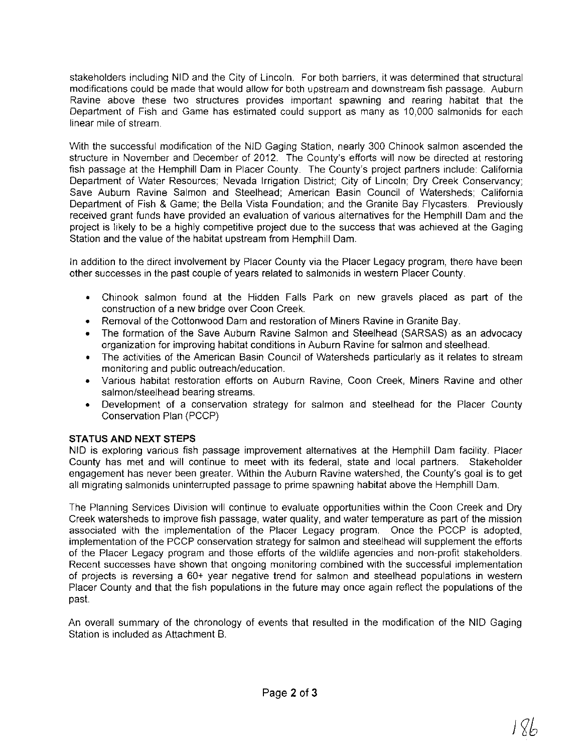stakeholders including NID and the City of Lincoln. For both barriers, it was determined that structural modifications could be made that would allow for both upstream and downstream fish passage. Auburn Ravine above these two structures provides important spawning and rearing habitat that the Department of Fish and Game has estimated could support as many as 10,000 salmonids for each linear mile of stream.

With the successful modification of the NID Gaging Station, nearly 300 Chinook salmon ascended the structure in November and December of 2012. The County's efforts will now be directed at restoring fish passage at the Hemphill Dam in Placer County. The County's project partners include: California Department of Water Resources: Nevada Irrigation District: City of Lincoln; Dry Creek Conservancy; Save Auburn Ravine Salmon and Steelhead; American Basin Council of Watersheds; California Department of Fish & Game; the Bella Vista Foundation; and the Granite Bay Flycasters. Previously received grant funds have provided an evaluation of various alternatives for the Hemphill Dam and the project is likely to be a highly competitive project due to the success that was achieved at the Gaging Station and the value of the habitat upstream from Hemphill Dam.

In addition to the direct involvement by Placer County via the Placer Legacy program, there have been other successes in the past couple of years related to salmonids in western Placer County.

- Chinook salmon found at the Hidden Falls Park on new gravels placed as part of the construction of a new bridge over Coon Creek.
- Removal of the Cottonwood Dam and restoration of Miners Ravine in Granite Bay.
- The formation of the Save Auburn Ravine Salmon and Steelhead (SARSAS) as an advocacy organization for improving habitat conditions in Auburn Ravine for salmon and steelhead.
- The activities of the American Basin Council of Watersheds particularly as it relates to stream monitoring and public outreach/education.
- Various habitat restoration efforts on Auburn Ravine, Coon Creek, Miners Ravine and other salmon/steelhead bearing streams.
- Development of a conservation strategy for salmon and steelhead for the Placer County Conservation Plan (PCCP)

# **STATUS AND NEXT STEPS**

NID is exploring various fish passage improvement alternatives at the Hemphill Dam facility. Placer County has met and will continue to meet with its federal, state and local partners. Stakeholder engagement has never been greater. Within the Auburn Ravine watershed, the County's goal is to get all migrating salmonids uninterrupted passage to prime spawning habitat above the Hemphill Dam.

The Planning Services Division will continue to evaluate opportunities within the Coon Creek and Dry Creek watersheds to improve fish passage, water quality, and water temperature as part of the mission associated with the implementation of the Placer Legacy program. Once the PCCP is adopted, implementation of the PCCP conservation strategy for salmon and steelhead will supplement the efforts of the Placer Legacy program and those efforts of the wildlife agencies and non-profit stakeholders. Recent successes have shown that ongoing monitoring combined with the successful implementation of projects is reversing a 60+ year negative trend for salmon and steelhead populations in western Placer County and that the fish populations in the future may once again reflect the populations of the past.

An overall summary of the chronology of events that resulted in the modification of the NID Gaging Station is included as Attachment B.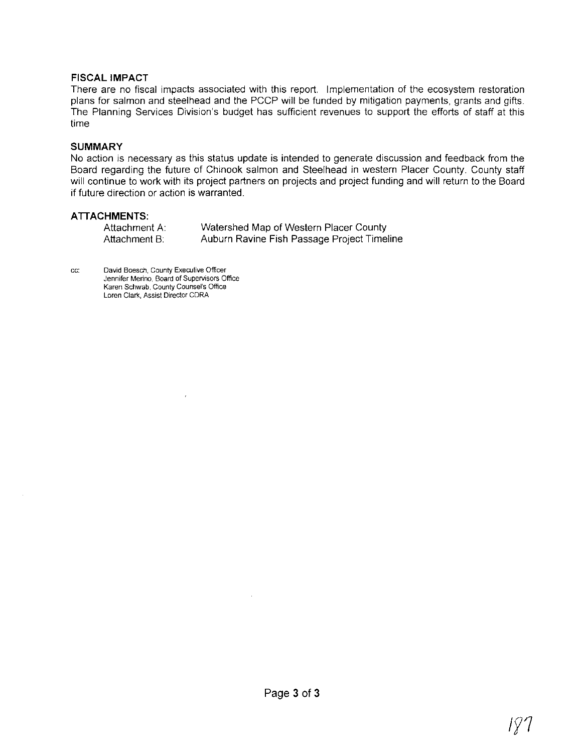# **FISCAL IMPACT**

There are no fiscal impacts associated with this report. Implementation of the ecosystem restoration plans for salmon and steelhead and the PCCP will be funded by mitigation payments, grants and gifts. The Planning Services Division's budget has sufficient revenues to support the efforts of staff at this time

## **SUMMARY**

No action is necessary as this status update is intended to generate discussion and feedback from the Board regarding the future of Chinook salmon and Steelhead in western Placer County. County staff will continue to work with its project partners on projects and project funding and will return to the Board if future direction or action is warranted.

# **ATIACHMENTS:**

| Attachment A: | Watershed Map of Western Placer County      |
|---------------|---------------------------------------------|
| Attachment B: | Auburn Ravine Fish Passage Project Timeline |

**cc: David Boesch, County Executive Officer Jennifer Merino, Board of Supervisors Office Karen Schwab, County Counsel's Office Loren Clark, Assist Director CORA** 

 $\overline{1}$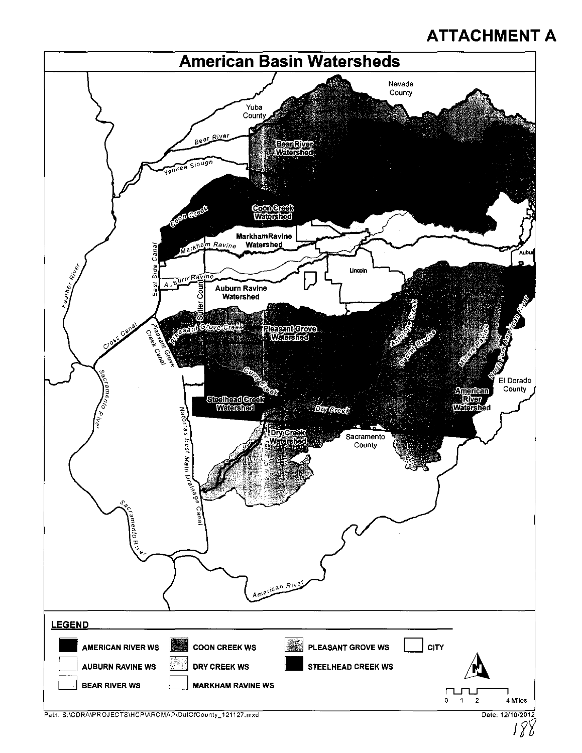# **ATTACHMENT A**



*J'j*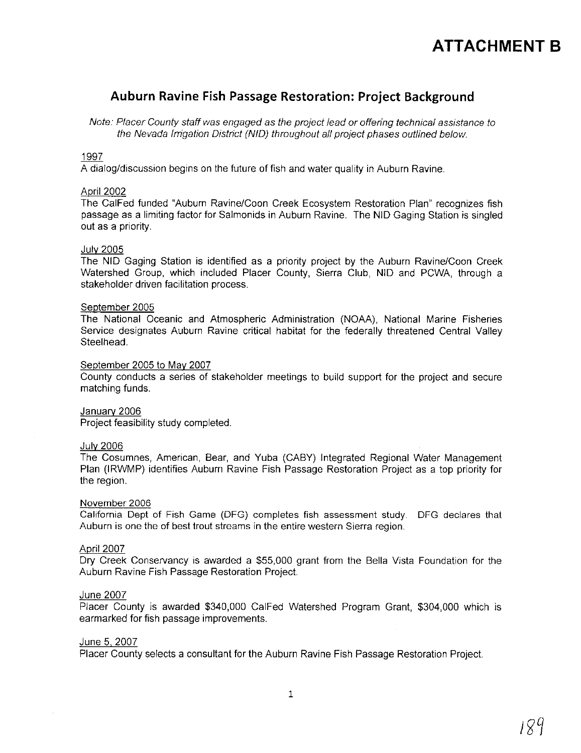# **ATTACHMENT B**

# **Auburn Ravine Fish Passage Restoration: Project Background**

Note: Placer County staff was engaged as the project lead or offering technical assistance to the Nevada Irrigation District (NID) throughout all project phases outlined below.

# 1997

A dialog/discussion begins on the future of fish and water quality in Auburn Ravine.

#### April 2002

The CalFed funded "Auburn Ravine/Coon Creek Ecosystem Restoration Plan" recognizes fish passage as a limiting factor for Salmonids in Auburn Ravine. The NID Gaging Station is singled out as a priority.

#### July 2005

The NID Gaging Station is identified as a priority project by the Auburn Ravine/Coon Creek Watershed Group, which included Placer County, Sierra Club, NID and PCWA, through a stakeholder driven facilitation process.

#### September 2005

The National Oceanic and Atmospheric Administration (NOAA), National Marine Fisheries Service designates Auburn Ravine critical habitat for the federally threatened Central Valley Steelhead.

#### September 2005 to May 2007

County conducts a series of stakeholder meetings to build support for the project and secure matching funds.

### Januarv 2006

Project feasibility study completed.

#### July 2006

The Cosumnes, American, Bear, and Yuba (CABY) Integrated Regional Water Management Plan (IRWMP) identifies Auburn Ravine Fish Passage Restoration Project as a top priority for the region.

#### November 2006

California Dept of Fish Game (DFG) completes fish assessment study. DFG declares that Auburn is one the of best trout streams in the entire western Sierra region.

### April 2007

Dry Creek Conservancy is awarded a \$55,000 grant from the Bella Vista Foundation for the Auburn Ravine Fish Passage Restoration Project.

#### June 2007

Placer County is awarded \$340,000 CalFed Watershed Program Grant, \$304,000 which is earmarked for fish passage improvements.

#### June 5, 2007

Placer County selects a consultant for the Auburn Ravine Fish Passage Restoration Project.